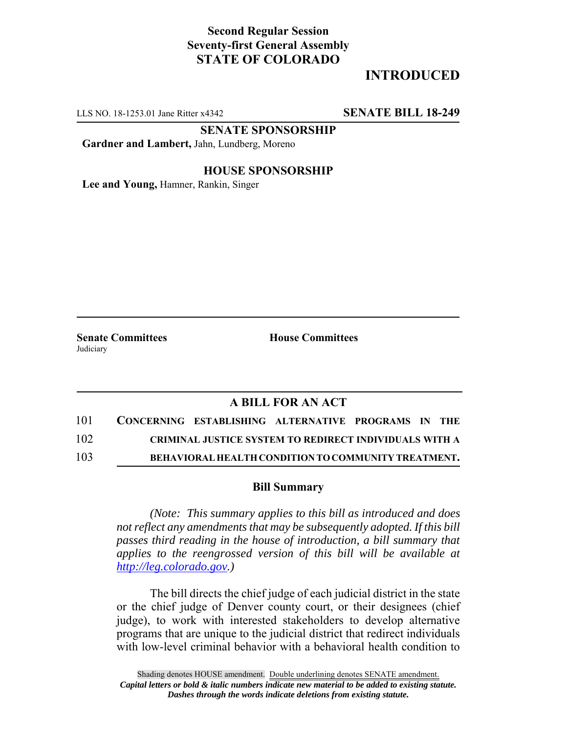# **Second Regular Session Seventy-first General Assembly STATE OF COLORADO**

# **INTRODUCED**

LLS NO. 18-1253.01 Jane Ritter x4342 **SENATE BILL 18-249**

**SENATE SPONSORSHIP**

**Gardner and Lambert,** Jahn, Lundberg, Moreno

### **HOUSE SPONSORSHIP**

**Lee and Young,** Hamner, Rankin, Singer

**Judiciary** 

**Senate Committees House Committees** 

## **A BILL FOR AN ACT**

| 101 | CONCERNING ESTABLISHING ALTERNATIVE PROGRAMS IN THE |                                                               |  |  |
|-----|-----------------------------------------------------|---------------------------------------------------------------|--|--|
| 102 |                                                     | <b>CRIMINAL JUSTICE SYSTEM TO REDIRECT INDIVIDUALS WITH A</b> |  |  |
| 103 |                                                     | <b>BEHAVIORAL HEALTH CONDITION TO COMMUNITY TREATMENT.</b>    |  |  |

### **Bill Summary**

*(Note: This summary applies to this bill as introduced and does not reflect any amendments that may be subsequently adopted. If this bill passes third reading in the house of introduction, a bill summary that applies to the reengrossed version of this bill will be available at http://leg.colorado.gov.)*

The bill directs the chief judge of each judicial district in the state or the chief judge of Denver county court, or their designees (chief judge), to work with interested stakeholders to develop alternative programs that are unique to the judicial district that redirect individuals with low-level criminal behavior with a behavioral health condition to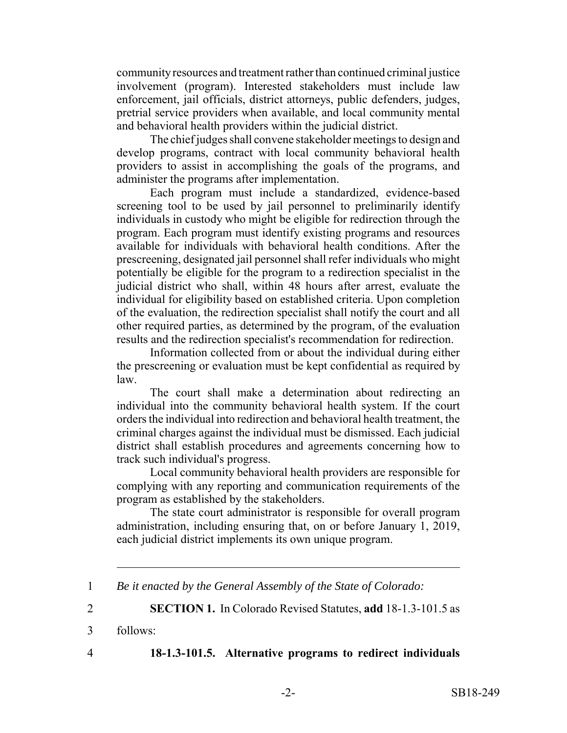community resources and treatment rather than continued criminal justice involvement (program). Interested stakeholders must include law enforcement, jail officials, district attorneys, public defenders, judges, pretrial service providers when available, and local community mental and behavioral health providers within the judicial district.

The chief judges shall convene stakeholder meetings to design and develop programs, contract with local community behavioral health providers to assist in accomplishing the goals of the programs, and administer the programs after implementation.

Each program must include a standardized, evidence-based screening tool to be used by jail personnel to preliminarily identify individuals in custody who might be eligible for redirection through the program. Each program must identify existing programs and resources available for individuals with behavioral health conditions. After the prescreening, designated jail personnel shall refer individuals who might potentially be eligible for the program to a redirection specialist in the judicial district who shall, within 48 hours after arrest, evaluate the individual for eligibility based on established criteria. Upon completion of the evaluation, the redirection specialist shall notify the court and all other required parties, as determined by the program, of the evaluation results and the redirection specialist's recommendation for redirection.

Information collected from or about the individual during either the prescreening or evaluation must be kept confidential as required by law.

The court shall make a determination about redirecting an individual into the community behavioral health system. If the court orders the individual into redirection and behavioral health treatment, the criminal charges against the individual must be dismissed. Each judicial district shall establish procedures and agreements concerning how to track such individual's progress.

Local community behavioral health providers are responsible for complying with any reporting and communication requirements of the program as established by the stakeholders.

The state court administrator is responsible for overall program administration, including ensuring that, on or before January 1, 2019, each judicial district implements its own unique program.

2 **SECTION 1.** In Colorado Revised Statutes, **add** 18-1.3-101.5 as

3 follows:

## 4 **18-1.3-101.5. Alternative programs to redirect individuals**

<sup>1</sup> *Be it enacted by the General Assembly of the State of Colorado:*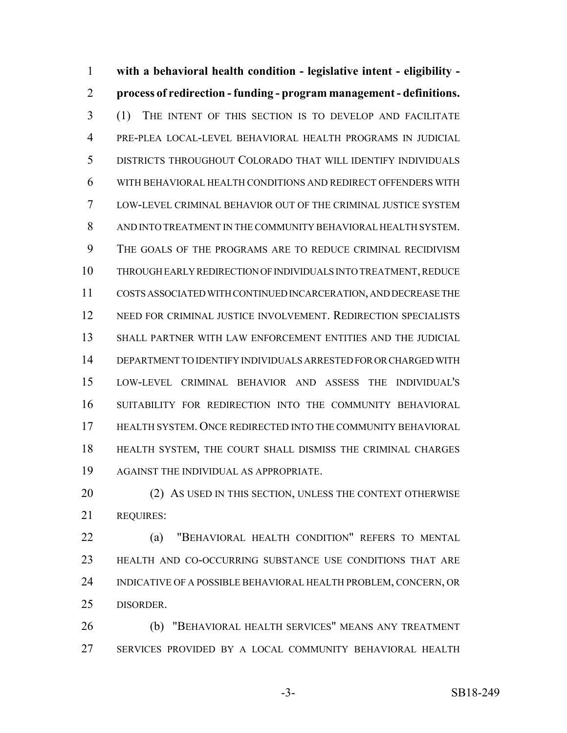**with a behavioral health condition - legislative intent - eligibility - process of redirection - funding - program management - definitions.** (1) THE INTENT OF THIS SECTION IS TO DEVELOP AND FACILITATE PRE-PLEA LOCAL-LEVEL BEHAVIORAL HEALTH PROGRAMS IN JUDICIAL DISTRICTS THROUGHOUT COLORADO THAT WILL IDENTIFY INDIVIDUALS WITH BEHAVIORAL HEALTH CONDITIONS AND REDIRECT OFFENDERS WITH LOW-LEVEL CRIMINAL BEHAVIOR OUT OF THE CRIMINAL JUSTICE SYSTEM AND INTO TREATMENT IN THE COMMUNITY BEHAVIORAL HEALTH SYSTEM. THE GOALS OF THE PROGRAMS ARE TO REDUCE CRIMINAL RECIDIVISM THROUGH EARLY REDIRECTION OF INDIVIDUALS INTO TREATMENT, REDUCE COSTS ASSOCIATED WITH CONTINUED INCARCERATION, AND DECREASE THE NEED FOR CRIMINAL JUSTICE INVOLVEMENT. REDIRECTION SPECIALISTS SHALL PARTNER WITH LAW ENFORCEMENT ENTITIES AND THE JUDICIAL DEPARTMENT TO IDENTIFY INDIVIDUALS ARRESTED FOR OR CHARGED WITH LOW-LEVEL CRIMINAL BEHAVIOR AND ASSESS THE INDIVIDUAL'S SUITABILITY FOR REDIRECTION INTO THE COMMUNITY BEHAVIORAL HEALTH SYSTEM. ONCE REDIRECTED INTO THE COMMUNITY BEHAVIORAL HEALTH SYSTEM, THE COURT SHALL DISMISS THE CRIMINAL CHARGES AGAINST THE INDIVIDUAL AS APPROPRIATE.

20 (2) AS USED IN THIS SECTION, UNLESS THE CONTEXT OTHERWISE REQUIRES:

 (a) "BEHAVIORAL HEALTH CONDITION" REFERS TO MENTAL HEALTH AND CO-OCCURRING SUBSTANCE USE CONDITIONS THAT ARE INDICATIVE OF A POSSIBLE BEHAVIORAL HEALTH PROBLEM, CONCERN, OR DISORDER.

 (b) "BEHAVIORAL HEALTH SERVICES" MEANS ANY TREATMENT SERVICES PROVIDED BY A LOCAL COMMUNITY BEHAVIORAL HEALTH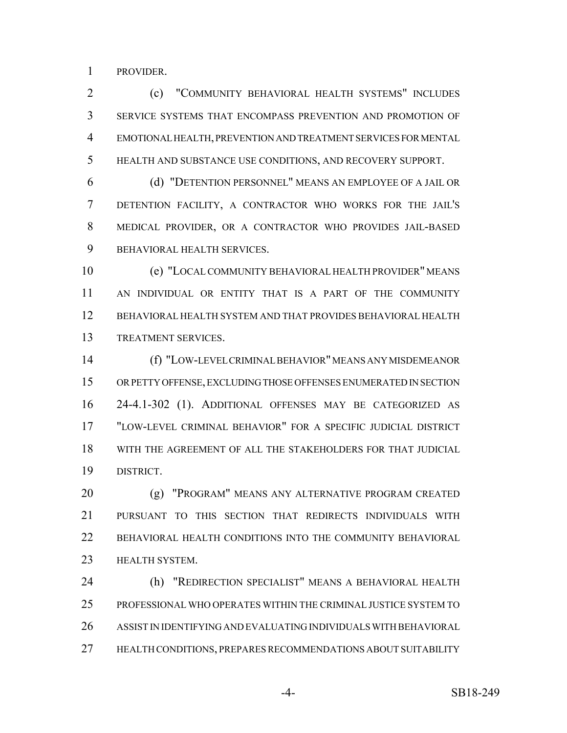PROVIDER.

 (c) "COMMUNITY BEHAVIORAL HEALTH SYSTEMS" INCLUDES SERVICE SYSTEMS THAT ENCOMPASS PREVENTION AND PROMOTION OF EMOTIONAL HEALTH, PREVENTION AND TREATMENT SERVICES FOR MENTAL HEALTH AND SUBSTANCE USE CONDITIONS, AND RECOVERY SUPPORT.

 (d) "DETENTION PERSONNEL" MEANS AN EMPLOYEE OF A JAIL OR DETENTION FACILITY, A CONTRACTOR WHO WORKS FOR THE JAIL'S MEDICAL PROVIDER, OR A CONTRACTOR WHO PROVIDES JAIL-BASED BEHAVIORAL HEALTH SERVICES.

 (e) "LOCAL COMMUNITY BEHAVIORAL HEALTH PROVIDER" MEANS AN INDIVIDUAL OR ENTITY THAT IS A PART OF THE COMMUNITY BEHAVIORAL HEALTH SYSTEM AND THAT PROVIDES BEHAVIORAL HEALTH TREATMENT SERVICES.

 (f) "LOW-LEVEL CRIMINAL BEHAVIOR" MEANS ANY MISDEMEANOR OR PETTY OFFENSE, EXCLUDING THOSE OFFENSES ENUMERATED IN SECTION 24-4.1-302 (1). ADDITIONAL OFFENSES MAY BE CATEGORIZED AS "LOW-LEVEL CRIMINAL BEHAVIOR" FOR A SPECIFIC JUDICIAL DISTRICT WITH THE AGREEMENT OF ALL THE STAKEHOLDERS FOR THAT JUDICIAL DISTRICT.

 (g) "PROGRAM" MEANS ANY ALTERNATIVE PROGRAM CREATED PURSUANT TO THIS SECTION THAT REDIRECTS INDIVIDUALS WITH 22 BEHAVIORAL HEALTH CONDITIONS INTO THE COMMUNITY BEHAVIORAL HEALTH SYSTEM.

 (h) "REDIRECTION SPECIALIST" MEANS A BEHAVIORAL HEALTH PROFESSIONAL WHO OPERATES WITHIN THE CRIMINAL JUSTICE SYSTEM TO ASSIST IN IDENTIFYING AND EVALUATING INDIVIDUALS WITH BEHAVIORAL HEALTH CONDITIONS, PREPARES RECOMMENDATIONS ABOUT SUITABILITY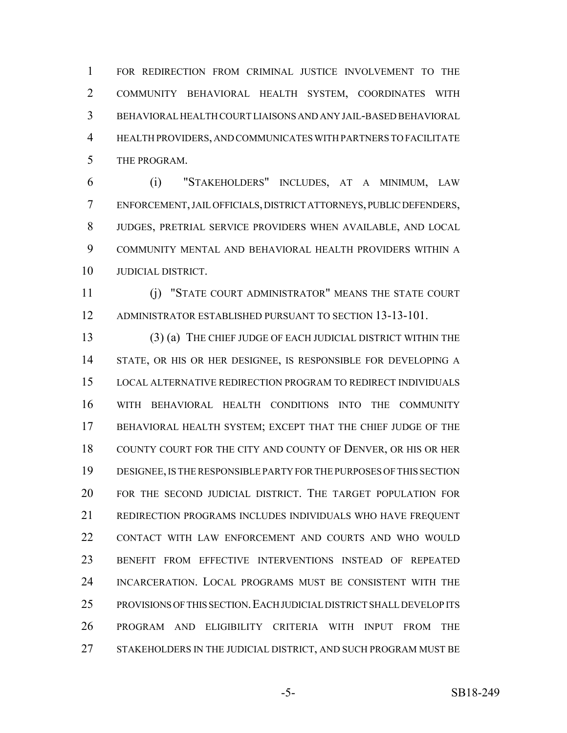FOR REDIRECTION FROM CRIMINAL JUSTICE INVOLVEMENT TO THE COMMUNITY BEHAVIORAL HEALTH SYSTEM, COORDINATES WITH BEHAVIORAL HEALTH COURT LIAISONS AND ANY JAIL-BASED BEHAVIORAL HEALTH PROVIDERS, AND COMMUNICATES WITH PARTNERS TO FACILITATE THE PROGRAM.

 (i) "STAKEHOLDERS" INCLUDES, AT A MINIMUM, LAW ENFORCEMENT, JAIL OFFICIALS, DISTRICT ATTORNEYS, PUBLIC DEFENDERS, JUDGES, PRETRIAL SERVICE PROVIDERS WHEN AVAILABLE, AND LOCAL COMMUNITY MENTAL AND BEHAVIORAL HEALTH PROVIDERS WITHIN A JUDICIAL DISTRICT.

 (j) "STATE COURT ADMINISTRATOR" MEANS THE STATE COURT ADMINISTRATOR ESTABLISHED PURSUANT TO SECTION 13-13-101.

 (3) (a) THE CHIEF JUDGE OF EACH JUDICIAL DISTRICT WITHIN THE STATE, OR HIS OR HER DESIGNEE, IS RESPONSIBLE FOR DEVELOPING A LOCAL ALTERNATIVE REDIRECTION PROGRAM TO REDIRECT INDIVIDUALS WITH BEHAVIORAL HEALTH CONDITIONS INTO THE COMMUNITY BEHAVIORAL HEALTH SYSTEM; EXCEPT THAT THE CHIEF JUDGE OF THE 18 COUNTY COURT FOR THE CITY AND COUNTY OF DENVER, OR HIS OR HER DESIGNEE, IS THE RESPONSIBLE PARTY FOR THE PURPOSES OF THIS SECTION FOR THE SECOND JUDICIAL DISTRICT. THE TARGET POPULATION FOR REDIRECTION PROGRAMS INCLUDES INDIVIDUALS WHO HAVE FREQUENT CONTACT WITH LAW ENFORCEMENT AND COURTS AND WHO WOULD BENEFIT FROM EFFECTIVE INTERVENTIONS INSTEAD OF REPEATED INCARCERATION. LOCAL PROGRAMS MUST BE CONSISTENT WITH THE PROVISIONS OF THIS SECTION.EACH JUDICIAL DISTRICT SHALL DEVELOP ITS PROGRAM AND ELIGIBILITY CRITERIA WITH INPUT FROM THE 27 STAKEHOLDERS IN THE JUDICIAL DISTRICT, AND SUCH PROGRAM MUST BE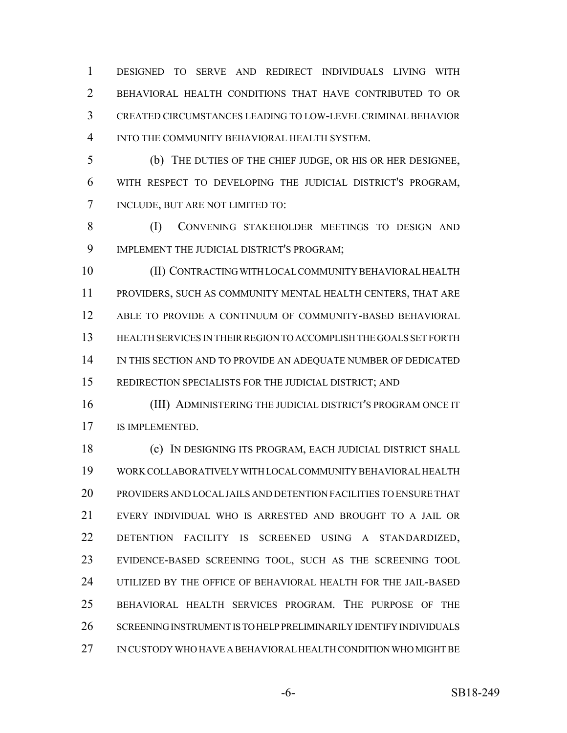DESIGNED TO SERVE AND REDIRECT INDIVIDUALS LIVING WITH BEHAVIORAL HEALTH CONDITIONS THAT HAVE CONTRIBUTED TO OR CREATED CIRCUMSTANCES LEADING TO LOW-LEVEL CRIMINAL BEHAVIOR INTO THE COMMUNITY BEHAVIORAL HEALTH SYSTEM.

 (b) THE DUTIES OF THE CHIEF JUDGE, OR HIS OR HER DESIGNEE, WITH RESPECT TO DEVELOPING THE JUDICIAL DISTRICT'S PROGRAM, INCLUDE, BUT ARE NOT LIMITED TO:

 (I) CONVENING STAKEHOLDER MEETINGS TO DESIGN AND IMPLEMENT THE JUDICIAL DISTRICT'S PROGRAM;

 (II) CONTRACTING WITH LOCAL COMMUNITY BEHAVIORAL HEALTH PROVIDERS, SUCH AS COMMUNITY MENTAL HEALTH CENTERS, THAT ARE ABLE TO PROVIDE A CONTINUUM OF COMMUNITY-BASED BEHAVIORAL HEALTH SERVICES IN THEIR REGION TO ACCOMPLISH THE GOALS SET FORTH IN THIS SECTION AND TO PROVIDE AN ADEQUATE NUMBER OF DEDICATED REDIRECTION SPECIALISTS FOR THE JUDICIAL DISTRICT; AND

 (III) ADMINISTERING THE JUDICIAL DISTRICT'S PROGRAM ONCE IT IS IMPLEMENTED.

 (c) IN DESIGNING ITS PROGRAM, EACH JUDICIAL DISTRICT SHALL WORK COLLABORATIVELY WITH LOCAL COMMUNITY BEHAVIORAL HEALTH PROVIDERS AND LOCAL JAILS AND DETENTION FACILITIES TO ENSURE THAT EVERY INDIVIDUAL WHO IS ARRESTED AND BROUGHT TO A JAIL OR DETENTION FACILITY IS SCREENED USING A STANDARDIZED, EVIDENCE-BASED SCREENING TOOL, SUCH AS THE SCREENING TOOL UTILIZED BY THE OFFICE OF BEHAVIORAL HEALTH FOR THE JAIL-BASED BEHAVIORAL HEALTH SERVICES PROGRAM. THE PURPOSE OF THE SCREENING INSTRUMENT IS TO HELP PRELIMINARILY IDENTIFY INDIVIDUALS IN CUSTODY WHO HAVE A BEHAVIORAL HEALTH CONDITION WHO MIGHT BE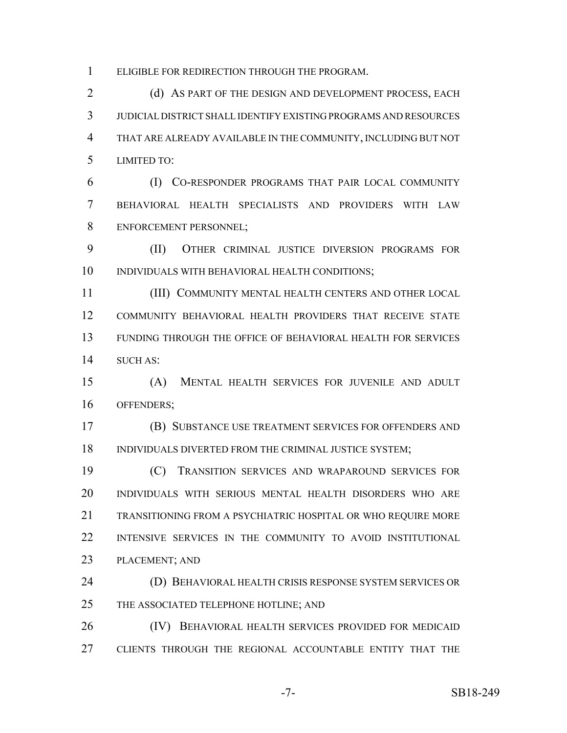ELIGIBLE FOR REDIRECTION THROUGH THE PROGRAM.

2 (d) AS PART OF THE DESIGN AND DEVELOPMENT PROCESS, EACH JUDICIAL DISTRICT SHALL IDENTIFY EXISTING PROGRAMS AND RESOURCES THAT ARE ALREADY AVAILABLE IN THE COMMUNITY, INCLUDING BUT NOT LIMITED TO:

 (I) CO-RESPONDER PROGRAMS THAT PAIR LOCAL COMMUNITY BEHAVIORAL HEALTH SPECIALISTS AND PROVIDERS WITH LAW ENFORCEMENT PERSONNEL;

 (II) OTHER CRIMINAL JUSTICE DIVERSION PROGRAMS FOR INDIVIDUALS WITH BEHAVIORAL HEALTH CONDITIONS;

 (III) COMMUNITY MENTAL HEALTH CENTERS AND OTHER LOCAL COMMUNITY BEHAVIORAL HEALTH PROVIDERS THAT RECEIVE STATE FUNDING THROUGH THE OFFICE OF BEHAVIORAL HEALTH FOR SERVICES SUCH AS:

 (A) MENTAL HEALTH SERVICES FOR JUVENILE AND ADULT OFFENDERS;

 (B) SUBSTANCE USE TREATMENT SERVICES FOR OFFENDERS AND 18 INDIVIDUALS DIVERTED FROM THE CRIMINAL JUSTICE SYSTEM;

 (C) TRANSITION SERVICES AND WRAPAROUND SERVICES FOR INDIVIDUALS WITH SERIOUS MENTAL HEALTH DISORDERS WHO ARE TRANSITIONING FROM A PSYCHIATRIC HOSPITAL OR WHO REQUIRE MORE 22 INTENSIVE SERVICES IN THE COMMUNITY TO AVOID INSTITUTIONAL PLACEMENT; AND

 (D) BEHAVIORAL HEALTH CRISIS RESPONSE SYSTEM SERVICES OR 25 THE ASSOCIATED TELEPHONE HOTLINE; AND

 (IV) BEHAVIORAL HEALTH SERVICES PROVIDED FOR MEDICAID CLIENTS THROUGH THE REGIONAL ACCOUNTABLE ENTITY THAT THE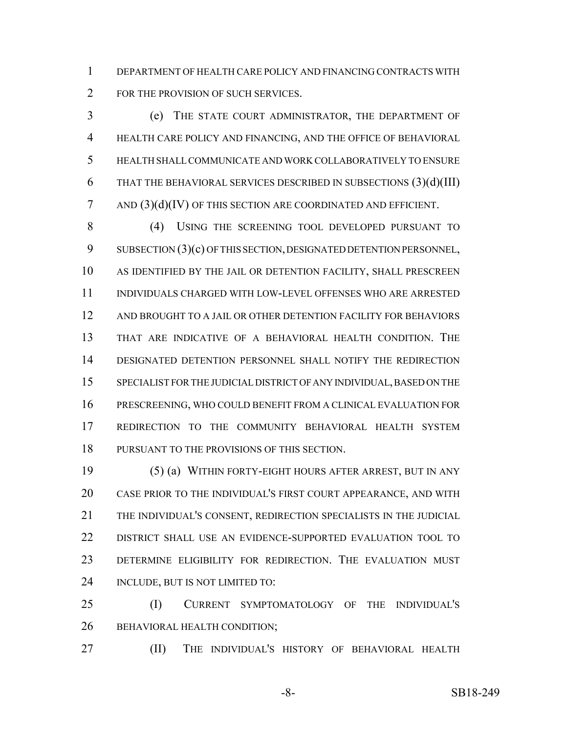DEPARTMENT OF HEALTH CARE POLICY AND FINANCING CONTRACTS WITH 2 FOR THE PROVISION OF SUCH SERVICES.

 (e) THE STATE COURT ADMINISTRATOR, THE DEPARTMENT OF HEALTH CARE POLICY AND FINANCING, AND THE OFFICE OF BEHAVIORAL HEALTH SHALL COMMUNICATE AND WORK COLLABORATIVELY TO ENSURE 6 THAT THE BEHAVIORAL SERVICES DESCRIBED IN SUBSECTIONS  $(3)(d)(III)$ 7 AND  $(3)(d)(IV)$  OF THIS SECTION ARE COORDINATED AND EFFICIENT.

 (4) USING THE SCREENING TOOL DEVELOPED PURSUANT TO 9 SUBSECTION (3)(c) OF THIS SECTION, DESIGNATED DETENTION PERSONNEL, AS IDENTIFIED BY THE JAIL OR DETENTION FACILITY, SHALL PRESCREEN INDIVIDUALS CHARGED WITH LOW-LEVEL OFFENSES WHO ARE ARRESTED AND BROUGHT TO A JAIL OR OTHER DETENTION FACILITY FOR BEHAVIORS THAT ARE INDICATIVE OF A BEHAVIORAL HEALTH CONDITION. THE DESIGNATED DETENTION PERSONNEL SHALL NOTIFY THE REDIRECTION SPECIALIST FOR THE JUDICIAL DISTRICT OF ANY INDIVIDUAL, BASED ON THE PRESCREENING, WHO COULD BENEFIT FROM A CLINICAL EVALUATION FOR REDIRECTION TO THE COMMUNITY BEHAVIORAL HEALTH SYSTEM PURSUANT TO THE PROVISIONS OF THIS SECTION.

 (5) (a) WITHIN FORTY-EIGHT HOURS AFTER ARREST, BUT IN ANY CASE PRIOR TO THE INDIVIDUAL'S FIRST COURT APPEARANCE, AND WITH THE INDIVIDUAL'S CONSENT, REDIRECTION SPECIALISTS IN THE JUDICIAL DISTRICT SHALL USE AN EVIDENCE-SUPPORTED EVALUATION TOOL TO DETERMINE ELIGIBILITY FOR REDIRECTION. THE EVALUATION MUST INCLUDE, BUT IS NOT LIMITED TO:

 (I) CURRENT SYMPTOMATOLOGY OF THE INDIVIDUAL'S 26 BEHAVIORAL HEALTH CONDITION;

(II) THE INDIVIDUAL'S HISTORY OF BEHAVIORAL HEALTH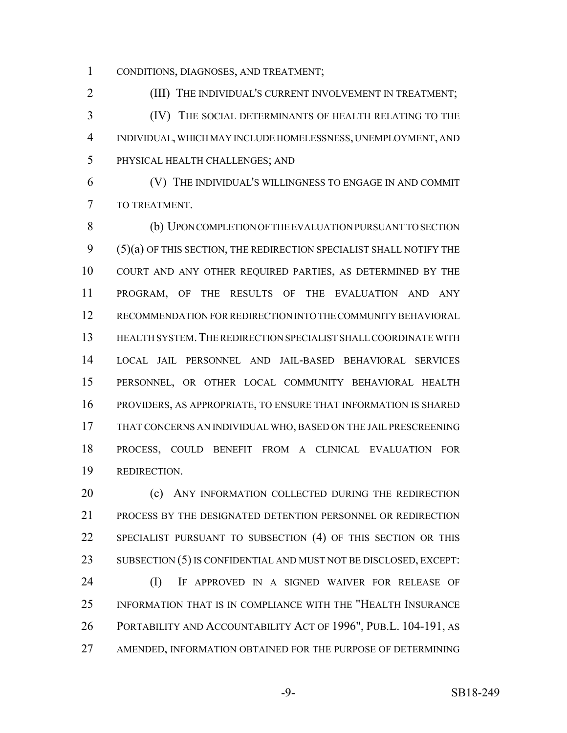CONDITIONS, DIAGNOSES, AND TREATMENT;

**(III)** THE INDIVIDUAL'S CURRENT INVOLVEMENT IN TREATMENT; (IV) THE SOCIAL DETERMINANTS OF HEALTH RELATING TO THE INDIVIDUAL, WHICH MAY INCLUDE HOMELESSNESS, UNEMPLOYMENT, AND PHYSICAL HEALTH CHALLENGES; AND

 (V) THE INDIVIDUAL'S WILLINGNESS TO ENGAGE IN AND COMMIT TO TREATMENT.

 (b) UPON COMPLETION OF THE EVALUATION PURSUANT TO SECTION (5)(a) OF THIS SECTION, THE REDIRECTION SPECIALIST SHALL NOTIFY THE COURT AND ANY OTHER REQUIRED PARTIES, AS DETERMINED BY THE PROGRAM, OF THE RESULTS OF THE EVALUATION AND ANY RECOMMENDATION FOR REDIRECTION INTO THE COMMUNITY BEHAVIORAL HEALTH SYSTEM.THE REDIRECTION SPECIALIST SHALL COORDINATE WITH LOCAL JAIL PERSONNEL AND JAIL-BASED BEHAVIORAL SERVICES PERSONNEL, OR OTHER LOCAL COMMUNITY BEHAVIORAL HEALTH PROVIDERS, AS APPROPRIATE, TO ENSURE THAT INFORMATION IS SHARED THAT CONCERNS AN INDIVIDUAL WHO, BASED ON THE JAIL PRESCREENING PROCESS, COULD BENEFIT FROM A CLINICAL EVALUATION FOR REDIRECTION.

**(c)** ANY INFORMATION COLLECTED DURING THE REDIRECTION PROCESS BY THE DESIGNATED DETENTION PERSONNEL OR REDIRECTION SPECIALIST PURSUANT TO SUBSECTION (4) OF THIS SECTION OR THIS SUBSECTION (5) IS CONFIDENTIAL AND MUST NOT BE DISCLOSED, EXCEPT:

 (I) IF APPROVED IN A SIGNED WAIVER FOR RELEASE OF INFORMATION THAT IS IN COMPLIANCE WITH THE "HEALTH INSURANCE PORTABILITY AND ACCOUNTABILITY ACT OF 1996", PUB.L. 104-191, AS AMENDED, INFORMATION OBTAINED FOR THE PURPOSE OF DETERMINING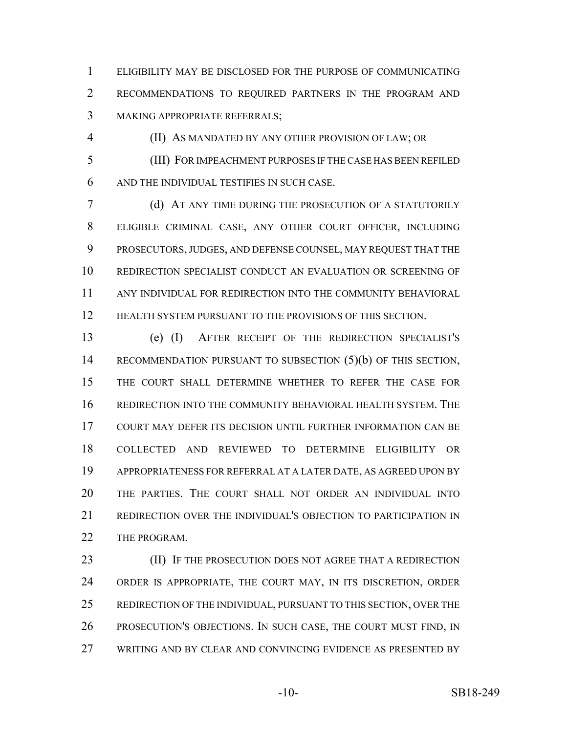ELIGIBILITY MAY BE DISCLOSED FOR THE PURPOSE OF COMMUNICATING RECOMMENDATIONS TO REQUIRED PARTNERS IN THE PROGRAM AND MAKING APPROPRIATE REFERRALS;

(II) AS MANDATED BY ANY OTHER PROVISION OF LAW; OR

 (III) FOR IMPEACHMENT PURPOSES IF THE CASE HAS BEEN REFILED AND THE INDIVIDUAL TESTIFIES IN SUCH CASE.

 (d) AT ANY TIME DURING THE PROSECUTION OF A STATUTORILY ELIGIBLE CRIMINAL CASE, ANY OTHER COURT OFFICER, INCLUDING PROSECUTORS, JUDGES, AND DEFENSE COUNSEL, MAY REQUEST THAT THE REDIRECTION SPECIALIST CONDUCT AN EVALUATION OR SCREENING OF ANY INDIVIDUAL FOR REDIRECTION INTO THE COMMUNITY BEHAVIORAL 12 HEALTH SYSTEM PURSUANT TO THE PROVISIONS OF THIS SECTION.

 (e) (I) AFTER RECEIPT OF THE REDIRECTION SPECIALIST'S RECOMMENDATION PURSUANT TO SUBSECTION (5)(b) OF THIS SECTION, THE COURT SHALL DETERMINE WHETHER TO REFER THE CASE FOR REDIRECTION INTO THE COMMUNITY BEHAVIORAL HEALTH SYSTEM. THE COURT MAY DEFER ITS DECISION UNTIL FURTHER INFORMATION CAN BE COLLECTED AND REVIEWED TO DETERMINE ELIGIBILITY OR APPROPRIATENESS FOR REFERRAL AT A LATER DATE, AS AGREED UPON BY THE PARTIES. THE COURT SHALL NOT ORDER AN INDIVIDUAL INTO REDIRECTION OVER THE INDIVIDUAL'S OBJECTION TO PARTICIPATION IN 22 THE PROGRAM.

**(II)** IF THE PROSECUTION DOES NOT AGREE THAT A REDIRECTION ORDER IS APPROPRIATE, THE COURT MAY, IN ITS DISCRETION, ORDER REDIRECTION OF THE INDIVIDUAL, PURSUANT TO THIS SECTION, OVER THE PROSECUTION'S OBJECTIONS. IN SUCH CASE, THE COURT MUST FIND, IN WRITING AND BY CLEAR AND CONVINCING EVIDENCE AS PRESENTED BY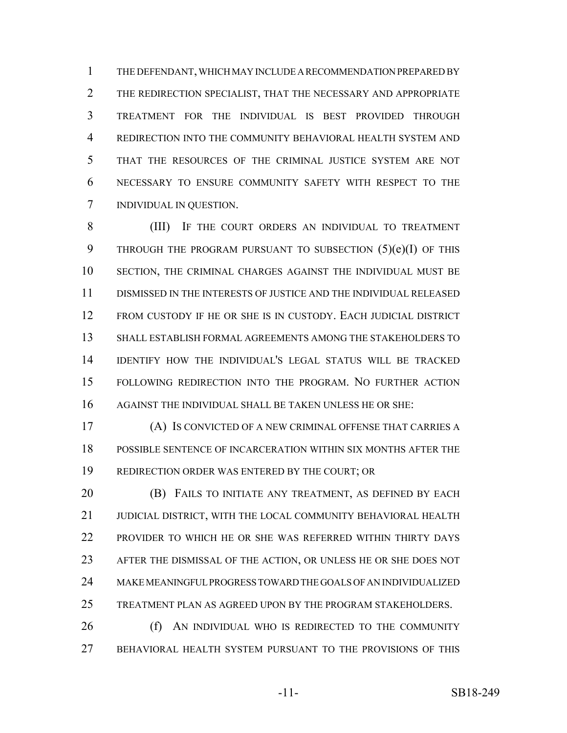THE DEFENDANT, WHICH MAY INCLUDE A RECOMMENDATION PREPARED BY THE REDIRECTION SPECIALIST, THAT THE NECESSARY AND APPROPRIATE TREATMENT FOR THE INDIVIDUAL IS BEST PROVIDED THROUGH REDIRECTION INTO THE COMMUNITY BEHAVIORAL HEALTH SYSTEM AND THAT THE RESOURCES OF THE CRIMINAL JUSTICE SYSTEM ARE NOT NECESSARY TO ENSURE COMMUNITY SAFETY WITH RESPECT TO THE INDIVIDUAL IN QUESTION.

 (III) IF THE COURT ORDERS AN INDIVIDUAL TO TREATMENT 9 THROUGH THE PROGRAM PURSUANT TO SUBSECTION (5)(e)(I) OF THIS SECTION, THE CRIMINAL CHARGES AGAINST THE INDIVIDUAL MUST BE DISMISSED IN THE INTERESTS OF JUSTICE AND THE INDIVIDUAL RELEASED FROM CUSTODY IF HE OR SHE IS IN CUSTODY. EACH JUDICIAL DISTRICT SHALL ESTABLISH FORMAL AGREEMENTS AMONG THE STAKEHOLDERS TO IDENTIFY HOW THE INDIVIDUAL'S LEGAL STATUS WILL BE TRACKED FOLLOWING REDIRECTION INTO THE PROGRAM. NO FURTHER ACTION AGAINST THE INDIVIDUAL SHALL BE TAKEN UNLESS HE OR SHE:

 (A) IS CONVICTED OF A NEW CRIMINAL OFFENSE THAT CARRIES A POSSIBLE SENTENCE OF INCARCERATION WITHIN SIX MONTHS AFTER THE REDIRECTION ORDER WAS ENTERED BY THE COURT; OR

 (B) FAILS TO INITIATE ANY TREATMENT, AS DEFINED BY EACH JUDICIAL DISTRICT, WITH THE LOCAL COMMUNITY BEHAVIORAL HEALTH PROVIDER TO WHICH HE OR SHE WAS REFERRED WITHIN THIRTY DAYS AFTER THE DISMISSAL OF THE ACTION, OR UNLESS HE OR SHE DOES NOT MAKE MEANINGFUL PROGRESS TOWARD THE GOALS OF AN INDIVIDUALIZED TREATMENT PLAN AS AGREED UPON BY THE PROGRAM STAKEHOLDERS.

 (f) AN INDIVIDUAL WHO IS REDIRECTED TO THE COMMUNITY BEHAVIORAL HEALTH SYSTEM PURSUANT TO THE PROVISIONS OF THIS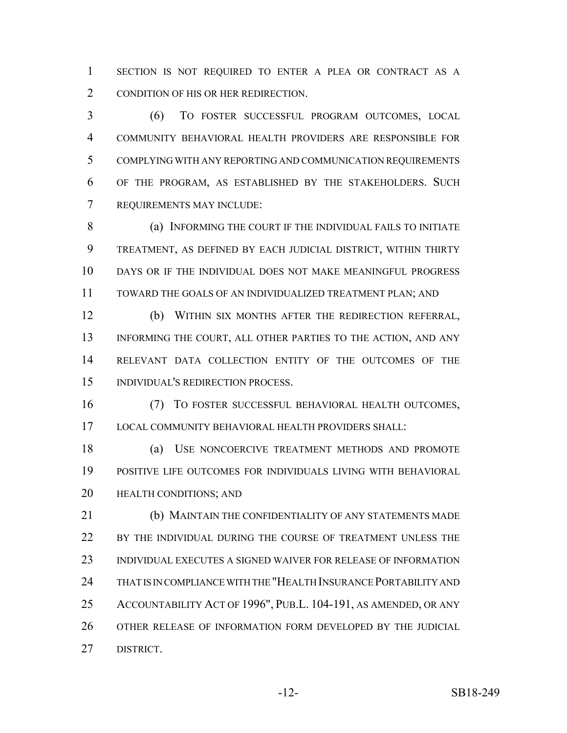SECTION IS NOT REQUIRED TO ENTER A PLEA OR CONTRACT AS A CONDITION OF HIS OR HER REDIRECTION.

 (6) TO FOSTER SUCCESSFUL PROGRAM OUTCOMES, LOCAL COMMUNITY BEHAVIORAL HEALTH PROVIDERS ARE RESPONSIBLE FOR COMPLYING WITH ANY REPORTING AND COMMUNICATION REQUIREMENTS OF THE PROGRAM, AS ESTABLISHED BY THE STAKEHOLDERS. SUCH REQUIREMENTS MAY INCLUDE:

8 (a) INFORMING THE COURT IF THE INDIVIDUAL FAILS TO INITIATE TREATMENT, AS DEFINED BY EACH JUDICIAL DISTRICT, WITHIN THIRTY DAYS OR IF THE INDIVIDUAL DOES NOT MAKE MEANINGFUL PROGRESS TOWARD THE GOALS OF AN INDIVIDUALIZED TREATMENT PLAN; AND

 (b) WITHIN SIX MONTHS AFTER THE REDIRECTION REFERRAL, 13 INFORMING THE COURT, ALL OTHER PARTIES TO THE ACTION, AND ANY RELEVANT DATA COLLECTION ENTITY OF THE OUTCOMES OF THE INDIVIDUAL'S REDIRECTION PROCESS.

 (7) TO FOSTER SUCCESSFUL BEHAVIORAL HEALTH OUTCOMES, LOCAL COMMUNITY BEHAVIORAL HEALTH PROVIDERS SHALL:

 (a) USE NONCOERCIVE TREATMENT METHODS AND PROMOTE POSITIVE LIFE OUTCOMES FOR INDIVIDUALS LIVING WITH BEHAVIORAL HEALTH CONDITIONS; AND

 (b) MAINTAIN THE CONFIDENTIALITY OF ANY STATEMENTS MADE 22 BY THE INDIVIDUAL DURING THE COURSE OF TREATMENT UNLESS THE INDIVIDUAL EXECUTES A SIGNED WAIVER FOR RELEASE OF INFORMATION THAT IS IN COMPLIANCE WITH THE "HEALTH INSURANCE PORTABILITY AND ACCOUNTABILITY ACT OF 1996", PUB.L. 104-191, AS AMENDED, OR ANY OTHER RELEASE OF INFORMATION FORM DEVELOPED BY THE JUDICIAL DISTRICT.